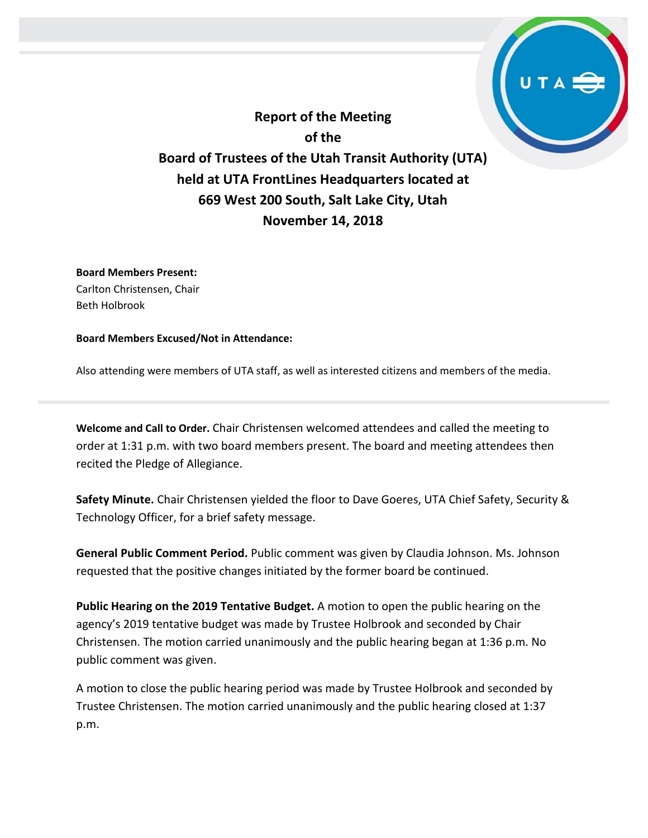**Report of the Meeting of the Board of Trustees of the Utah Transit Authority (UTA) held at UTA FrontLines Headquarters located at 669 West 200 South, Salt Lake City, Utah November 14, 2018**

**Board Members Present:** Carlton Christensen, Chair Beth Holbrook

**Board Members Excused/Not in Attendance:** 

Also attending were members of UTA staff, as well as interested citizens and members of the media.

**Welcome and Call to Order.** Chair Christensen welcomed attendees and called the meeting to order at 1:31 p.m. with two board members present. The board and meeting attendees then recited the Pledge of Allegiance.

**Safety Minute.** Chair Christensen yielded the floor to Dave Goeres, UTA Chief Safety, Security & Technology Officer, for a brief safety message.

**General Public Comment Period.** Public comment was given by Claudia Johnson. Ms. Johnson requested that the positive changes initiated by the former board be continued.

**Public Hearing on the 2019 Tentative Budget.** A motion to open the public hearing on the agency's 2019 tentative budget was made by Trustee Holbrook and seconded by Chair Christensen. The motion carried unanimously and the public hearing began at 1:36 p.m. No public comment was given.

A motion to close the public hearing period was made by Trustee Holbrook and seconded by Trustee Christensen. The motion carried unanimously and the public hearing closed at 1:37 p.m.